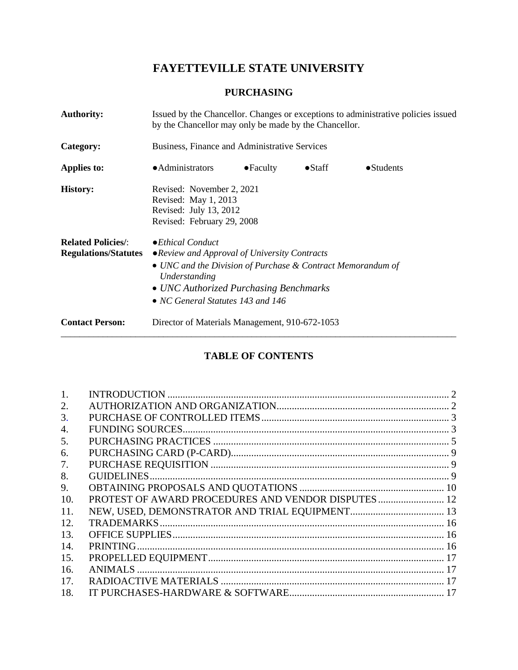# **FAYETTEVILLE STATE UNIVERSITY**

# **PURCHASING**

| <b>Authority:</b>                                        | Issued by the Chancellor. Changes or exceptions to administrative policies issued<br>by the Chancellor may only be made by the Chancellor.                                                                                                       |                   |                 |                    |
|----------------------------------------------------------|--------------------------------------------------------------------------------------------------------------------------------------------------------------------------------------------------------------------------------------------------|-------------------|-----------------|--------------------|
| Category:                                                | Business, Finance and Administrative Services                                                                                                                                                                                                    |                   |                 |                    |
| Applies to:                                              | • Administrators                                                                                                                                                                                                                                 | $\bullet$ Faculty | $\bullet$ Staff | $\bullet$ Students |
| <b>History:</b>                                          | Revised: November 2, 2021<br>Revised: May 1, 2013<br>Revised: July 13, 2012<br>Revised: February 29, 2008                                                                                                                                        |                   |                 |                    |
| <b>Related Policies/:</b><br><b>Regulations/Statutes</b> | $\bullet$ <i>Ethical Conduct</i><br>• Review and Approval of University Contracts<br>• UNC and the Division of Purchase & Contract Memorandum of<br>Understanding<br>• UNC Authorized Purchasing Benchmarks<br>• NC General Statutes 143 and 146 |                   |                 |                    |
| <b>Contact Person:</b>                                   | Director of Materials Management, 910-672-1053                                                                                                                                                                                                   |                   |                 |                    |

# **TABLE OF CONTENTS**

| 1.  |                                                    |  |
|-----|----------------------------------------------------|--|
| 2.  |                                                    |  |
| 3.  |                                                    |  |
| 4.  |                                                    |  |
| .5. |                                                    |  |
| 6.  |                                                    |  |
| 7.  |                                                    |  |
| 8.  |                                                    |  |
| 9.  |                                                    |  |
| 10. | PROTEST OF AWARD PROCEDURES AND VENDOR DISPUTES 12 |  |
| 11. |                                                    |  |
| 12. |                                                    |  |
| 13. |                                                    |  |
| 14. |                                                    |  |
| 15. |                                                    |  |
| 16. |                                                    |  |
| 17. |                                                    |  |
| 18. |                                                    |  |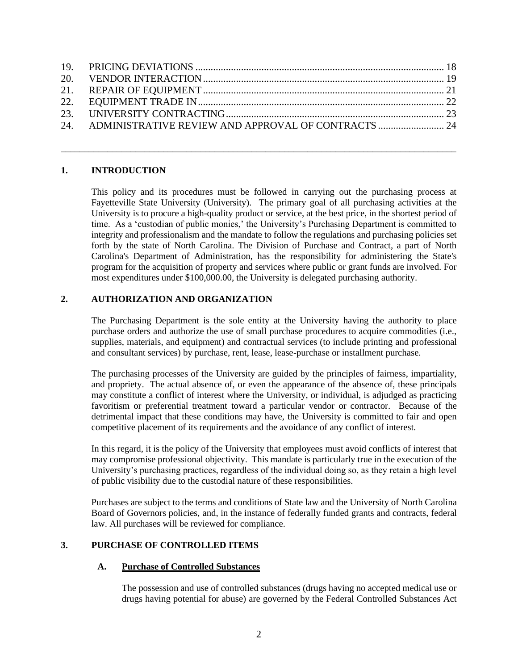| 24. ADMINISTRATIVE REVIEW AND APPROVAL OF CONTRACTS  24 |  |
|---------------------------------------------------------|--|

\_\_\_\_\_\_\_\_\_\_\_\_\_\_\_\_\_\_\_\_\_\_\_\_\_\_\_\_\_\_\_\_\_\_\_\_\_\_\_\_\_\_\_\_\_\_\_\_\_\_\_\_\_\_\_\_\_\_\_\_\_\_\_\_\_\_\_\_\_\_\_\_\_\_\_\_\_\_\_\_\_\_\_\_\_

# <span id="page-1-0"></span>**1. INTRODUCTION**

This policy and its procedures must be followed in carrying out the purchasing process at Fayetteville State University (University). The primary goal of all purchasing activities at the University is to procure a high-quality product or service, at the best price, in the shortest period of time. As a 'custodian of public monies,' the University's Purchasing Department is committed to integrity and professionalism and the mandate to follow the regulations and purchasing policies set forth by the state of North Carolina. The Division of Purchase and Contract, a part of North Carolina's Department of Administration, has the responsibility for administering the State's program for the acquisition of property and services where public or grant funds are involved. For most expenditures under \$100,000.00, the University is delegated purchasing authority.

# <span id="page-1-1"></span>**2. AUTHORIZATION AND ORGANIZATION**

The Purchasing Department is the sole entity at the University having the authority to place purchase orders and authorize the use of small purchase procedures to acquire commodities (i.e., supplies, materials, and equipment) and contractual services (to include printing and professional and consultant services) by purchase, rent, lease, lease-purchase or installment purchase.

The purchasing processes of the University are guided by the principles of fairness, impartiality, and propriety. The actual absence of, or even the appearance of the absence of, these principals may constitute a conflict of interest where the University, or individual, is adjudged as practicing favoritism or preferential treatment toward a particular vendor or contractor. Because of the detrimental impact that these conditions may have, the University is committed to fair and open competitive placement of its requirements and the avoidance of any conflict of interest.

In this regard, it is the policy of the University that employees must avoid conflicts of interest that may compromise professional objectivity. This mandate is particularly true in the execution of the University's purchasing practices, regardless of the individual doing so, as they retain a high level of public visibility due to the custodial nature of these responsibilities.

Purchases are subject to the terms and conditions of State law and the University of North Carolina Board of Governors policies, and, in the instance of federally funded grants and contracts, federal law. All purchases will be reviewed for compliance.

# **3. PURCHASE OF CONTROLLED ITEMS**

# **A. Purchase of Controlled Substances**

The possession and use of controlled substances (drugs having no accepted medical use or drugs having potential for abuse) are governed by the Federal Controlled Substances Act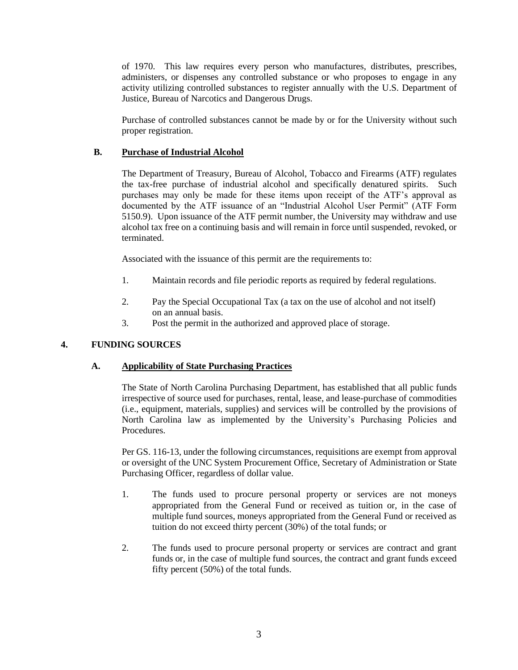of 1970. This law requires every person who manufactures, distributes, prescribes, administers, or dispenses any controlled substance or who proposes to engage in any activity utilizing controlled substances to register annually with the U.S. Department of Justice, Bureau of Narcotics and Dangerous Drugs.

Purchase of controlled substances cannot be made by or for the University without such proper registration.

# **B. Purchase of Industrial Alcohol**

The Department of Treasury, Bureau of Alcohol, Tobacco and Firearms (ATF) regulates the tax-free purchase of industrial alcohol and specifically denatured spirits. Such purchases may only be made for these items upon receipt of the ATF's approval as documented by the ATF issuance of an "Industrial Alcohol User Permit" (ATF Form 5150.9). Upon issuance of the ATF permit number, the University may withdraw and use alcohol tax free on a continuing basis and will remain in force until suspended, revoked, or terminated.

Associated with the issuance of this permit are the requirements to:

- 1. Maintain records and file periodic reports as required by federal regulations.
- 2. Pay the Special Occupational Tax (a tax on the use of alcohol and not itself) on an annual basis.
- 3. Post the permit in the authorized and approved place of storage.

# <span id="page-2-0"></span>**4. FUNDING SOURCES**

# **A. Applicability of State Purchasing Practices**

The State of North Carolina Purchasing Department, has established that all public funds irrespective of source used for purchases, rental, lease, and lease-purchase of commodities (i.e., equipment, materials, supplies) and services will be controlled by the provisions of North Carolina law as implemented by the University's Purchasing Policies and Procedures.

Per GS. 116-13, under the following circumstances, requisitions are exempt from approval or oversight of the UNC System Procurement Office, Secretary of Administration or State Purchasing Officer, regardless of dollar value.

- 1. The funds used to procure personal property or services are not moneys appropriated from the General Fund or received as tuition or, in the case of multiple fund sources, moneys appropriated from the General Fund or received as tuition do not exceed thirty percent (30%) of the total funds; or
- 2. The funds used to procure personal property or services are contract and grant funds or, in the case of multiple fund sources, the contract and grant funds exceed fifty percent (50%) of the total funds.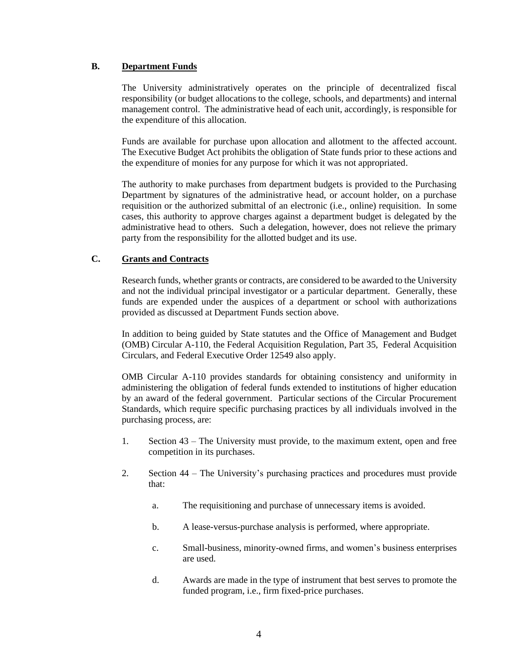# **B. Department Funds**

The University administratively operates on the principle of decentralized fiscal responsibility (or budget allocations to the college, schools, and departments) and internal management control. The administrative head of each unit, accordingly, is responsible for the expenditure of this allocation.

Funds are available for purchase upon allocation and allotment to the affected account. The Executive Budget Act prohibits the obligation of State funds prior to these actions and the expenditure of monies for any purpose for which it was not appropriated.

The authority to make purchases from department budgets is provided to the Purchasing Department by signatures of the administrative head, or account holder, on a purchase requisition or the authorized submittal of an electronic (i.e., online) requisition. In some cases, this authority to approve charges against a department budget is delegated by the administrative head to others. Such a delegation, however, does not relieve the primary party from the responsibility for the allotted budget and its use.

# **C. Grants and Contracts**

Research funds, whether grants or contracts, are considered to be awarded to the University and not the individual principal investigator or a particular department. Generally, these funds are expended under the auspices of a department or school with authorizations provided as discussed at Department Funds section above.

In addition to being guided by State statutes and the Office of Management and Budget (OMB) Circular A-110, the Federal Acquisition Regulation, Part 35, Federal Acquisition Circulars, and Federal Executive Order 12549 also apply.

OMB Circular A-110 provides standards for obtaining consistency and uniformity in administering the obligation of federal funds extended to institutions of higher education by an award of the federal government. Particular sections of the Circular Procurement Standards, which require specific purchasing practices by all individuals involved in the purchasing process, are:

- 1. Section 43 The University must provide, to the maximum extent, open and free competition in its purchases.
- 2. Section 44 The University's purchasing practices and procedures must provide that:
	- a. The requisitioning and purchase of unnecessary items is avoided.
	- b. A lease-versus-purchase analysis is performed, where appropriate.
	- c. Small-business, minority-owned firms, and women's business enterprises are used.
	- d. Awards are made in the type of instrument that best serves to promote the funded program, i.e., firm fixed-price purchases.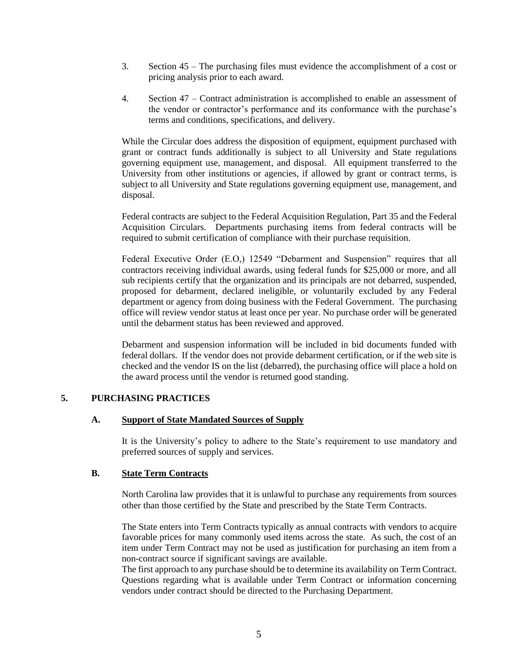- 3. Section 45 The purchasing files must evidence the accomplishment of a cost or pricing analysis prior to each award.
- 4. Section 47 Contract administration is accomplished to enable an assessment of the vendor or contractor's performance and its conformance with the purchase's terms and conditions, specifications, and delivery.

While the Circular does address the disposition of equipment, equipment purchased with grant or contract funds additionally is subject to all University and State regulations governing equipment use, management, and disposal. All equipment transferred to the University from other institutions or agencies, if allowed by grant or contract terms, is subject to all University and State regulations governing equipment use, management, and disposal.

Federal contracts are subject to the Federal Acquisition Regulation, Part 35 and the Federal Acquisition Circulars. Departments purchasing items from federal contracts will be required to submit certification of compliance with their purchase requisition.

Federal Executive Order (E.O,) 12549 "Debarment and Suspension" requires that all contractors receiving individual awards, using federal funds for \$25,000 or more, and all sub recipients certify that the organization and its principals are not debarred, suspended, proposed for debarment, declared ineligible, or voluntarily excluded by any Federal department or agency from doing business with the Federal Government. The purchasing office will review vendor status at least once per year. No purchase order will be generated until the debarment status has been reviewed and approved.

Debarment and suspension information will be included in bid documents funded with federal dollars. If the vendor does not provide debarment certification, or if the web site is checked and the vendor IS on the list (debarred), the purchasing office will place a hold on the award process until the vendor is returned good standing.

# <span id="page-4-0"></span>**5. PURCHASING PRACTICES**

#### **A. Support of State Mandated Sources of Supply**

It is the University's policy to adhere to the State's requirement to use mandatory and preferred sources of supply and services.

#### **B. State Term Contracts**

North Carolina law provides that it is unlawful to purchase any requirements from sources other than those certified by the State and prescribed by the State Term Contracts.

The State enters into Term Contracts typically as annual contracts with vendors to acquire favorable prices for many commonly used items across the state. As such, the cost of an item under Term Contract may not be used as justification for purchasing an item from a non-contract source if significant savings are available.

The first approach to any purchase should be to determine its availability on Term Contract. Questions regarding what is available under Term Contract or information concerning vendors under contract should be directed to the Purchasing Department.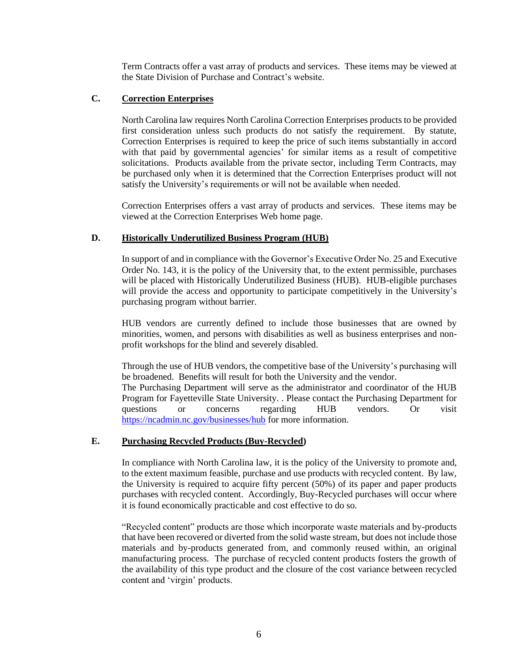Term Contracts offer a vast array of products and services. These items may be viewed at the State Division of Purchase and Contract's website.

# **C. Correction Enterprises**

North Carolina law requires North Carolina Correction Enterprises products to be provided first consideration unless such products do not satisfy the requirement. By statute, Correction Enterprises is required to keep the price of such items substantially in accord with that paid by governmental agencies' for similar items as a result of competitive solicitations. Products available from the private sector, including Term Contracts, may be purchased only when it is determined that the Correction Enterprises product will not satisfy the University's requirements or will not be available when needed.

Correction Enterprises offers a vast array of products and services. These items may be viewed at the Correction Enterprises Web home page.

#### **D. Historically Underutilized Business Program (HUB)**

In support of and in compliance with the Governor's Executive Order No. 25 and Executive Order No. 143, it is the policy of the University that, to the extent permissible, purchases will be placed with Historically Underutilized Business (HUB). HUB-eligible purchases will provide the access and opportunity to participate competitively in the University's purchasing program without barrier.

HUB vendors are currently defined to include those businesses that are owned by minorities, women, and persons with disabilities as well as business enterprises and nonprofit workshops for the blind and severely disabled.

Through the use of HUB vendors, the competitive base of the University's purchasing will be broadened. Benefits will result for both the University and the vendor. The Purchasing Department will serve as the administrator and coordinator of the HUB Program for Fayetteville State University. . Please contact the Purchasing Department for questions or concerns regarding HUB vendors. Or visit <https://ncadmin.nc.gov/businesses/hub> for more information.

# **E. Purchasing Recycled Products (Buy-Recycled)**

In compliance with North Carolina law, it is the policy of the University to promote and, to the extent maximum feasible, purchase and use products with recycled content. By law, the University is required to acquire fifty percent (50%) of its paper and paper products purchases with recycled content. Accordingly, Buy-Recycled purchases will occur where it is found economically practicable and cost effective to do so.

"Recycled content" products are those which incorporate waste materials and by-products that have been recovered or diverted from the solid waste stream, but does not include those materials and by-products generated from, and commonly reused within, an original manufacturing process. The purchase of recycled content products fosters the growth of the availability of this type product and the closure of the cost variance between recycled content and 'virgin' products.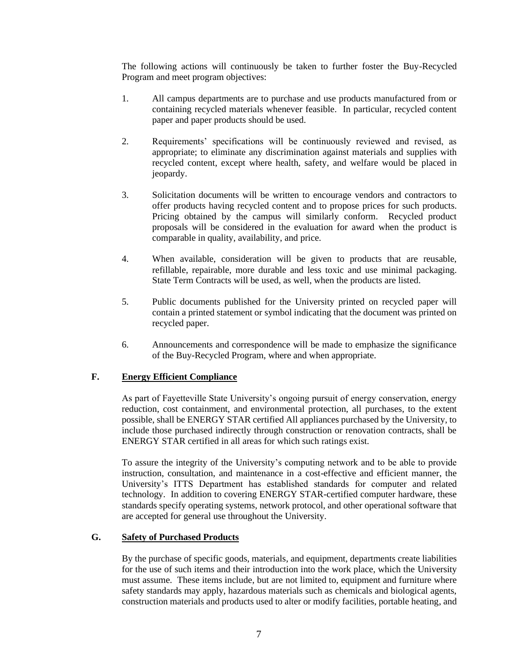The following actions will continuously be taken to further foster the Buy-Recycled Program and meet program objectives:

- 1. All campus departments are to purchase and use products manufactured from or containing recycled materials whenever feasible. In particular, recycled content paper and paper products should be used.
- 2. Requirements' specifications will be continuously reviewed and revised, as appropriate; to eliminate any discrimination against materials and supplies with recycled content, except where health, safety, and welfare would be placed in jeopardy.
- 3. Solicitation documents will be written to encourage vendors and contractors to offer products having recycled content and to propose prices for such products. Pricing obtained by the campus will similarly conform. Recycled product proposals will be considered in the evaluation for award when the product is comparable in quality, availability, and price.
- 4. When available, consideration will be given to products that are reusable, refillable, repairable, more durable and less toxic and use minimal packaging. State Term Contracts will be used, as well, when the products are listed.
- 5. Public documents published for the University printed on recycled paper will contain a printed statement or symbol indicating that the document was printed on recycled paper.
- 6. Announcements and correspondence will be made to emphasize the significance of the Buy-Recycled Program, where and when appropriate.

# **F. Energy Efficient Compliance**

As part of Fayetteville State University's ongoing pursuit of energy conservation, energy reduction, cost containment, and environmental protection, all purchases, to the extent possible, shall be ENERGY STAR certified All appliances purchased by the University, to include those purchased indirectly through construction or renovation contracts, shall be ENERGY STAR certified in all areas for which such ratings exist.

To assure the integrity of the University's computing network and to be able to provide instruction, consultation, and maintenance in a cost-effective and efficient manner, the University's ITTS Department has established standards for computer and related technology. In addition to covering ENERGY STAR-certified computer hardware, these standards specify operating systems, network protocol, and other operational software that are accepted for general use throughout the University.

# **G. Safety of Purchased Products**

By the purchase of specific goods, materials, and equipment, departments create liabilities for the use of such items and their introduction into the work place, which the University must assume. These items include, but are not limited to, equipment and furniture where safety standards may apply, hazardous materials such as chemicals and biological agents, construction materials and products used to alter or modify facilities, portable heating, and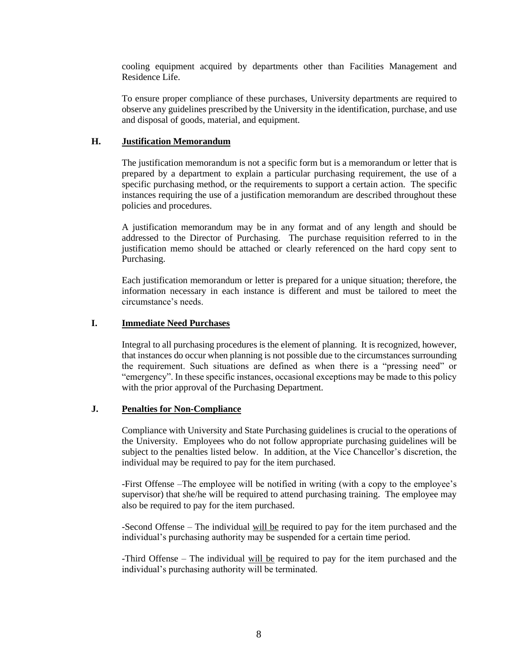cooling equipment acquired by departments other than Facilities Management and Residence Life.

To ensure proper compliance of these purchases, University departments are required to observe any guidelines prescribed by the University in the identification, purchase, and use and disposal of goods, material, and equipment.

# **H. Justification Memorandum**

The justification memorandum is not a specific form but is a memorandum or letter that is prepared by a department to explain a particular purchasing requirement, the use of a specific purchasing method, or the requirements to support a certain action. The specific instances requiring the use of a justification memorandum are described throughout these policies and procedures.

A justification memorandum may be in any format and of any length and should be addressed to the Director of Purchasing. The purchase requisition referred to in the justification memo should be attached or clearly referenced on the hard copy sent to Purchasing.

Each justification memorandum or letter is prepared for a unique situation; therefore, the information necessary in each instance is different and must be tailored to meet the circumstance's needs.

# **I. Immediate Need Purchases**

Integral to all purchasing procedures is the element of planning. It is recognized, however, that instances do occur when planning is not possible due to the circumstances surrounding the requirement. Such situations are defined as when there is a "pressing need" or "emergency". In these specific instances, occasional exceptions may be made to this policy with the prior approval of the Purchasing Department.

# **J. Penalties for Non-Compliance**

Compliance with University and State Purchasing guidelines is crucial to the operations of the University. Employees who do not follow appropriate purchasing guidelines will be subject to the penalties listed below. In addition, at the Vice Chancellor's discretion, the individual may be required to pay for the item purchased.

-First Offense –The employee will be notified in writing (with a copy to the employee's supervisor) that she/he will be required to attend purchasing training. The employee may also be required to pay for the item purchased.

-Second Offense – The individual will be required to pay for the item purchased and the individual's purchasing authority may be suspended for a certain time period.

-Third Offense – The individual will be required to pay for the item purchased and the individual's purchasing authority will be terminated.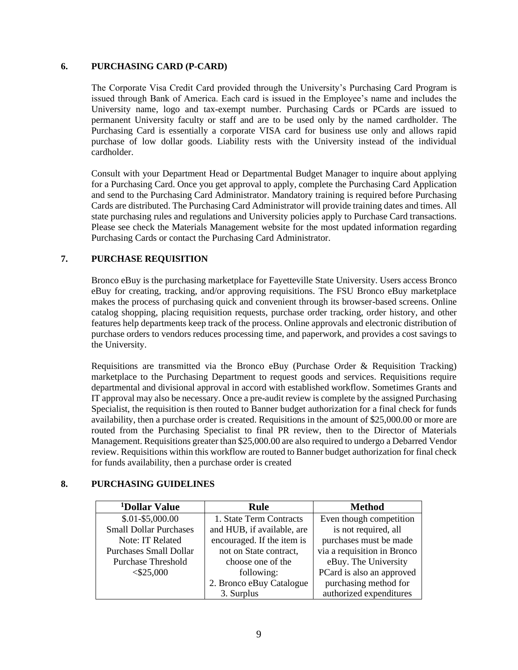# <span id="page-8-0"></span>**6. PURCHASING CARD (P-CARD)**

The Corporate Visa Credit Card provided through the University's Purchasing Card Program is issued through Bank of America. Each card is issued in the Employee's name and includes the University name, logo and tax-exempt number. Purchasing Cards or PCards are issued to permanent University faculty or staff and are to be used only by the named cardholder. The Purchasing Card is essentially a corporate VISA card for business use only and allows rapid purchase of low dollar goods. Liability rests with the University instead of the individual cardholder.

Consult with your Department Head or Departmental Budget Manager to inquire about applying for a Purchasing Card. Once you get approval to apply, complete the Purchasing Card Application and send to the Purchasing Card Administrator. Mandatory training is required before Purchasing Cards are distributed. The Purchasing Card Administrator will provide training dates and times. All state purchasing rules and regulations and University policies apply to Purchase Card transactions. Please see check the Materials Management website for the most updated information regarding Purchasing Cards or contact the Purchasing Card Administrator.

# <span id="page-8-1"></span>**7. PURCHASE REQUISITION**

Bronco eBuy is the purchasing marketplace for Fayetteville State University. Users access Bronco eBuy for creating, tracking, and/or approving requisitions. The FSU Bronco eBuy marketplace makes the process of purchasing quick and convenient through its browser-based screens. Online catalog shopping, placing requisition requests, purchase order tracking, order history, and other features help departments keep track of the process. Online approvals and electronic distribution of purchase orders to vendors reduces processing time, and paperwork, and provides a cost savings to the University.

Requisitions are transmitted via the Bronco eBuy (Purchase Order & Requisition Tracking) marketplace to the Purchasing Department to request goods and services. Requisitions require departmental and divisional approval in accord with established workflow. Sometimes Grants and IT approval may also be necessary. Once a pre-audit review is complete by the assigned Purchasing Specialist, the requisition is then routed to Banner budget authorization for a final check for funds availability, then a purchase order is created. Requisitions in the amount of \$25,000.00 or more are routed from the Purchasing Specialist to final PR review, then to the Director of Materials Management. Requisitions greater than \$25,000.00 are also required to undergo a Debarred Vendor review. Requisitions within this workflow are routed to Banner budget authorization for final check for funds availability, then a purchase order is created

# **8. PURCHASING GUIDELINES**

<span id="page-8-2"></span>

| <sup>1</sup> Dollar Value     | Rule                       | <b>Method</b>               |
|-------------------------------|----------------------------|-----------------------------|
| $$.01 - $5,000.00$            | 1. State Term Contracts    | Even though competition     |
| <b>Small Dollar Purchases</b> | and HUB, if available, are | is not required, all        |
| Note: IT Related              | encouraged. If the item is | purchases must be made      |
| <b>Purchases Small Dollar</b> | not on State contract,     | via a requisition in Bronco |
| <b>Purchase Threshold</b>     | choose one of the          | eBuy. The University        |
| $<$ \$25,000                  | following:                 | PCard is also an approved   |
|                               | 2. Bronco eBuy Catalogue   | purchasing method for       |
|                               | 3. Surplus                 | authorized expenditures     |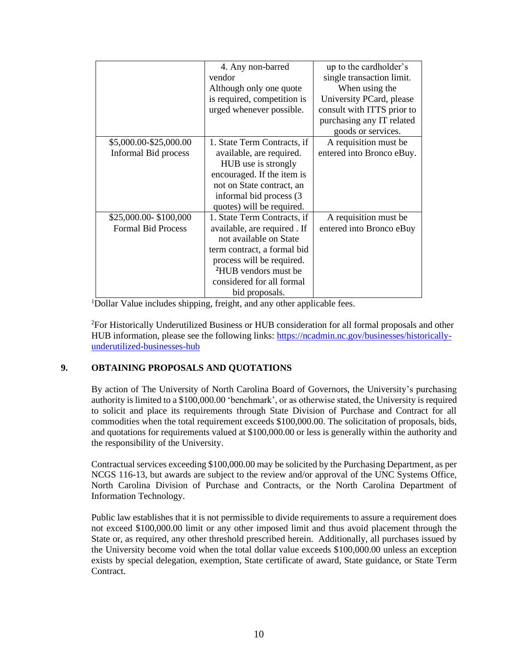|                           | 4. Any non-barred                | up to the cardholder's     |
|---------------------------|----------------------------------|----------------------------|
|                           | vendor                           | single transaction limit.  |
|                           | Although only one quote          | When using the             |
|                           | is required, competition is      | University PCard, please   |
|                           | urged whenever possible.         | consult with ITTS prior to |
|                           |                                  | purchasing any IT related  |
|                           |                                  | goods or services.         |
| \$5,000.00-\$25,000.00    | 1. State Term Contracts, if      | A requisition must be      |
| Informal Bid process      | available, are required.         | entered into Bronco eBuy.  |
|                           | HUB use is strongly              |                            |
|                           | encouraged. If the item is       |                            |
|                           | not on State contract, an        |                            |
|                           | informal bid process (3          |                            |
|                           | quotes) will be required.        |                            |
| \$25,000.00-\$100,000     | 1. State Term Contracts, if      | A requisition must be      |
| <b>Formal Bid Process</b> | available, are required. If      | entered into Bronco eBuy   |
|                           | not available on State           |                            |
|                           | term contract, a formal bid      |                            |
|                           | process will be required.        |                            |
|                           | <sup>2</sup> HUB vendors must be |                            |
|                           | considered for all formal        |                            |
|                           | bid proposals.                   |                            |

<sup>1</sup>Dollar Value includes shipping, freight, and any other applicable fees.

<sup>2</sup>For Historically Underutilized Business or HUB consideration for all formal proposals and other HUB information, please see the following links: [https://ncadmin.nc.gov/businesses/historically](https://ncadmin.nc.gov/businesses/historically-underutilized-businesses-hub)[underutilized-businesses-hub](https://ncadmin.nc.gov/businesses/historically-underutilized-businesses-hub)

# <span id="page-9-0"></span>**9. OBTAINING PROPOSALS AND QUOTATIONS**

By action of The University of North Carolina Board of Governors, the University's purchasing authority is limited to a \$100,000.00 'benchmark', or as otherwise stated, the University is required to solicit and place its requirements through State Division of Purchase and Contract for all commodities when the total requirement exceeds \$100,000.00. The solicitation of proposals, bids, and quotations for requirements valued at \$100,000.00 or less is generally within the authority and the responsibility of the University.

Contractual services exceeding \$100,000.00 may be solicited by the Purchasing Department, as per NCGS 116-13, but awards are subject to the review and/or approval of the UNC Systems Office, North Carolina Division of Purchase and Contracts, or the North Carolina Department of Information Technology.

Public law establishes that it is not permissible to divide requirements to assure a requirement does not exceed \$100,000.00 limit or any other imposed limit and thus avoid placement through the State or, as required, any other threshold prescribed herein. Additionally, all purchases issued by the University become void when the total dollar value exceeds \$100,000.00 unless an exception exists by special delegation, exemption, State certificate of award, State guidance, or State Term Contract.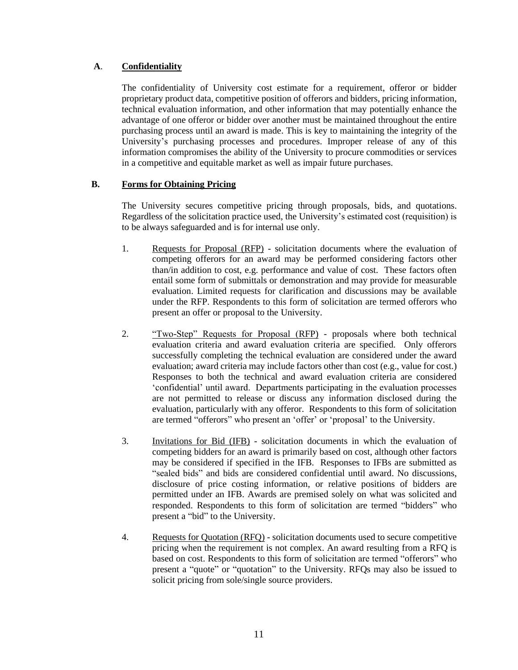# **A**. **Confidentiality**

The confidentiality of University cost estimate for a requirement, offeror or bidder proprietary product data, competitive position of offerors and bidders, pricing information, technical evaluation information, and other information that may potentially enhance the advantage of one offeror or bidder over another must be maintained throughout the entire purchasing process until an award is made. This is key to maintaining the integrity of the University's purchasing processes and procedures. Improper release of any of this information compromises the ability of the University to procure commodities or services in a competitive and equitable market as well as impair future purchases.

# **B. Forms for Obtaining Pricing**

The University secures competitive pricing through proposals, bids, and quotations. Regardless of the solicitation practice used, the University's estimated cost (requisition) is to be always safeguarded and is for internal use only.

- 1. Requests for Proposal (RFP) solicitation documents where the evaluation of competing offerors for an award may be performed considering factors other than/in addition to cost, e.g. performance and value of cost. These factors often entail some form of submittals or demonstration and may provide for measurable evaluation. Limited requests for clarification and discussions may be available under the RFP. Respondents to this form of solicitation are termed offerors who present an offer or proposal to the University.
- 2. "Two-Step" Requests for Proposal (RFP) proposals where both technical evaluation criteria and award evaluation criteria are specified. Only offerors successfully completing the technical evaluation are considered under the award evaluation; award criteria may include factors other than cost (e.g., value for cost.) Responses to both the technical and award evaluation criteria are considered 'confidential' until award. Departments participating in the evaluation processes are not permitted to release or discuss any information disclosed during the evaluation, particularly with any offeror. Respondents to this form of solicitation are termed "offerors" who present an 'offer' or 'proposal' to the University.
- 3. Invitations for Bid (IFB) solicitation documents in which the evaluation of competing bidders for an award is primarily based on cost, although other factors may be considered if specified in the IFB. Responses to IFBs are submitted as "sealed bids" and bids are considered confidential until award. No discussions, disclosure of price costing information, or relative positions of bidders are permitted under an IFB. Awards are premised solely on what was solicited and responded. Respondents to this form of solicitation are termed "bidders" who present a "bid" to the University.
- 4. Requests for Quotation (RFQ) solicitation documents used to secure competitive pricing when the requirement is not complex. An award resulting from a RFQ is based on cost. Respondents to this form of solicitation are termed "offerors" who present a "quote" or "quotation" to the University. RFQs may also be issued to solicit pricing from sole/single source providers.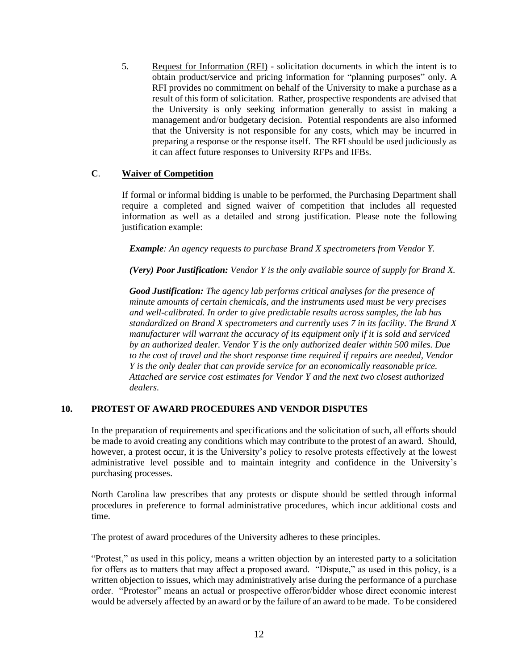5. Request for Information (RFI) - solicitation documents in which the intent is to obtain product/service and pricing information for "planning purposes" only. A RFI provides no commitment on behalf of the University to make a purchase as a result of this form of solicitation. Rather, prospective respondents are advised that the University is only seeking information generally to assist in making a management and/or budgetary decision. Potential respondents are also informed that the University is not responsible for any costs, which may be incurred in preparing a response or the response itself. The RFI should be used judiciously as it can affect future responses to University RFPs and IFBs.

# **C**. **Waiver of Competition**

If formal or informal bidding is unable to be performed, the Purchasing Department shall require a completed and signed waiver of competition that includes all requested information as well as a detailed and strong justification. Please note the following justification example:

*Example: An agency requests to purchase Brand X spectrometers from Vendor Y.*

*(Very) Poor Justification: Vendor Y is the only available source of supply for Brand X.*

*Good Justification: The agency lab performs critical analyses for the presence of minute amounts of certain chemicals, and the instruments used must be very precises and well-calibrated. In order to give predictable results across samples, the lab has standardized on Brand X spectrometers and currently uses 7 in its facility. The Brand X manufacturer will warrant the accuracy of its equipment only if it is sold and serviced by an authorized dealer. Vendor Y is the only authorized dealer within 500 miles. Due to the cost of travel and the short response time required if repairs are needed, Vendor Y is the only dealer that can provide service for an economically reasonable price. Attached are service cost estimates for Vendor Y and the next two closest authorized dealers.*

# <span id="page-11-0"></span>**10. PROTEST OF AWARD PROCEDURES AND VENDOR DISPUTES**

In the preparation of requirements and specifications and the solicitation of such, all efforts should be made to avoid creating any conditions which may contribute to the protest of an award. Should, however, a protest occur, it is the University's policy to resolve protests effectively at the lowest administrative level possible and to maintain integrity and confidence in the University's purchasing processes.

North Carolina law prescribes that any protests or dispute should be settled through informal procedures in preference to formal administrative procedures, which incur additional costs and time.

The protest of award procedures of the University adheres to these principles.

"Protest," as used in this policy, means a written objection by an interested party to a solicitation for offers as to matters that may affect a proposed award. "Dispute," as used in this policy, is a written objection to issues, which may administratively arise during the performance of a purchase order. "Protestor" means an actual or prospective offeror/bidder whose direct economic interest would be adversely affected by an award or by the failure of an award to be made. To be considered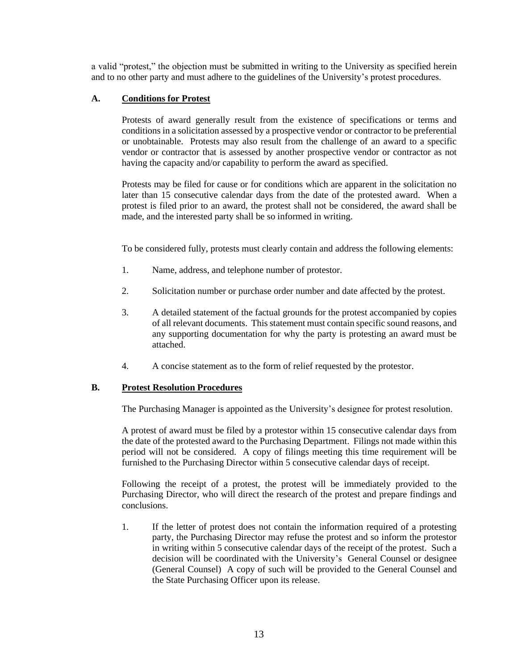a valid "protest," the objection must be submitted in writing to the University as specified herein and to no other party and must adhere to the guidelines of the University's protest procedures.

# **A. Conditions for Protest**

Protests of award generally result from the existence of specifications or terms and conditions in a solicitation assessed by a prospective vendor or contractor to be preferential or unobtainable. Protests may also result from the challenge of an award to a specific vendor or contractor that is assessed by another prospective vendor or contractor as not having the capacity and/or capability to perform the award as specified.

Protests may be filed for cause or for conditions which are apparent in the solicitation no later than 15 consecutive calendar days from the date of the protested award. When a protest is filed prior to an award, the protest shall not be considered, the award shall be made, and the interested party shall be so informed in writing.

To be considered fully, protests must clearly contain and address the following elements:

- 1. Name, address, and telephone number of protestor.
- 2. Solicitation number or purchase order number and date affected by the protest.
- 3. A detailed statement of the factual grounds for the protest accompanied by copies of all relevant documents. This statement must contain specific sound reasons, and any supporting documentation for why the party is protesting an award must be attached.
- 4. A concise statement as to the form of relief requested by the protestor.

# **B. Protest Resolution Procedures**

The Purchasing Manager is appointed as the University's designee for protest resolution.

A protest of award must be filed by a protestor within 15 consecutive calendar days from the date of the protested award to the Purchasing Department. Filings not made within this period will not be considered. A copy of filings meeting this time requirement will be furnished to the Purchasing Director within 5 consecutive calendar days of receipt.

Following the receipt of a protest, the protest will be immediately provided to the Purchasing Director, who will direct the research of the protest and prepare findings and conclusions.

1. If the letter of protest does not contain the information required of a protesting party, the Purchasing Director may refuse the protest and so inform the protestor in writing within 5 consecutive calendar days of the receipt of the protest. Such a decision will be coordinated with the University's General Counsel or designee (General Counsel) A copy of such will be provided to the General Counsel and the State Purchasing Officer upon its release.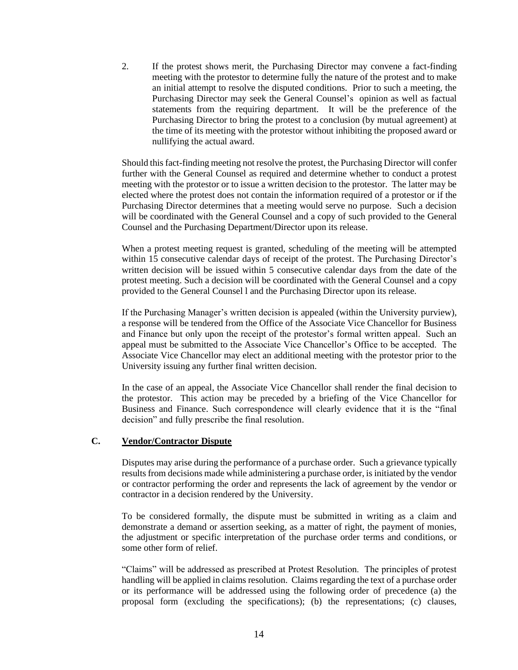2. If the protest shows merit, the Purchasing Director may convene a fact-finding meeting with the protestor to determine fully the nature of the protest and to make an initial attempt to resolve the disputed conditions. Prior to such a meeting, the Purchasing Director may seek the General Counsel's opinion as well as factual statements from the requiring department. It will be the preference of the Purchasing Director to bring the protest to a conclusion (by mutual agreement) at the time of its meeting with the protestor without inhibiting the proposed award or nullifying the actual award.

Should this fact-finding meeting not resolve the protest, the Purchasing Director will confer further with the General Counsel as required and determine whether to conduct a protest meeting with the protestor or to issue a written decision to the protestor. The latter may be elected where the protest does not contain the information required of a protestor or if the Purchasing Director determines that a meeting would serve no purpose. Such a decision will be coordinated with the General Counsel and a copy of such provided to the General Counsel and the Purchasing Department/Director upon its release.

When a protest meeting request is granted, scheduling of the meeting will be attempted within 15 consecutive calendar days of receipt of the protest. The Purchasing Director's written decision will be issued within 5 consecutive calendar days from the date of the protest meeting. Such a decision will be coordinated with the General Counsel and a copy provided to the General Counsel l and the Purchasing Director upon its release.

If the Purchasing Manager's written decision is appealed (within the University purview), a response will be tendered from the Office of the Associate Vice Chancellor for Business and Finance but only upon the receipt of the protestor's formal written appeal. Such an appeal must be submitted to the Associate Vice Chancellor's Office to be accepted. The Associate Vice Chancellor may elect an additional meeting with the protestor prior to the University issuing any further final written decision.

In the case of an appeal, the Associate Vice Chancellor shall render the final decision to the protestor. This action may be preceded by a briefing of the Vice Chancellor for Business and Finance. Such correspondence will clearly evidence that it is the "final decision" and fully prescribe the final resolution.

#### **C. Vendor/Contractor Dispute**

Disputes may arise during the performance of a purchase order. Such a grievance typically results from decisions made while administering a purchase order, is initiated by the vendor or contractor performing the order and represents the lack of agreement by the vendor or contractor in a decision rendered by the University.

To be considered formally, the dispute must be submitted in writing as a claim and demonstrate a demand or assertion seeking, as a matter of right, the payment of monies, the adjustment or specific interpretation of the purchase order terms and conditions, or some other form of relief.

"Claims" will be addressed as prescribed at Protest Resolution. The principles of protest handling will be applied in claims resolution. Claims regarding the text of a purchase order or its performance will be addressed using the following order of precedence (a) the proposal form (excluding the specifications); (b) the representations; (c) clauses,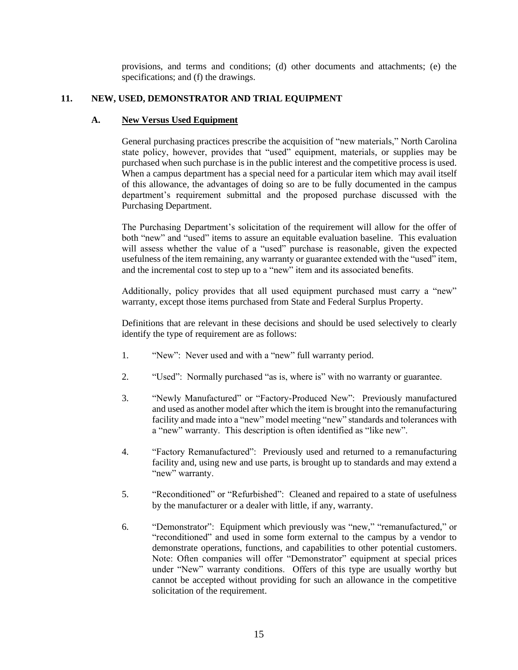provisions, and terms and conditions; (d) other documents and attachments; (e) the specifications; and (f) the drawings.

# **11. NEW, USED, DEMONSTRATOR AND TRIAL EQUIPMENT**

### **A. New Versus Used Equipment**

General purchasing practices prescribe the acquisition of "new materials," North Carolina state policy, however, provides that "used" equipment, materials, or supplies may be purchased when such purchase is in the public interest and the competitive process is used. When a campus department has a special need for a particular item which may avail itself of this allowance, the advantages of doing so are to be fully documented in the campus department's requirement submittal and the proposed purchase discussed with the Purchasing Department.

The Purchasing Department's solicitation of the requirement will allow for the offer of both "new" and "used" items to assure an equitable evaluation baseline. This evaluation will assess whether the value of a "used" purchase is reasonable, given the expected usefulness of the item remaining, any warranty or guarantee extended with the "used" item, and the incremental cost to step up to a "new" item and its associated benefits.

Additionally, policy provides that all used equipment purchased must carry a "new" warranty, except those items purchased from State and Federal Surplus Property.

Definitions that are relevant in these decisions and should be used selectively to clearly identify the type of requirement are as follows:

- 1. "New": Never used and with a "new" full warranty period.
- 2. "Used": Normally purchased "as is, where is" with no warranty or guarantee.
- 3. "Newly Manufactured" or "Factory-Produced New": Previously manufactured and used as another model after which the item is brought into the remanufacturing facility and made into a "new" model meeting "new" standards and tolerances with a "new" warranty. This description is often identified as "like new".
- 4. "Factory Remanufactured": Previously used and returned to a remanufacturing facility and, using new and use parts, is brought up to standards and may extend a "new" warranty.
- 5. "Reconditioned" or "Refurbished": Cleaned and repaired to a state of usefulness by the manufacturer or a dealer with little, if any, warranty.
- 6. "Demonstrator": Equipment which previously was "new," "remanufactured," or "reconditioned" and used in some form external to the campus by a vendor to demonstrate operations, functions, and capabilities to other potential customers. Note: Often companies will offer "Demonstrator" equipment at special prices under "New" warranty conditions. Offers of this type are usually worthy but cannot be accepted without providing for such an allowance in the competitive solicitation of the requirement.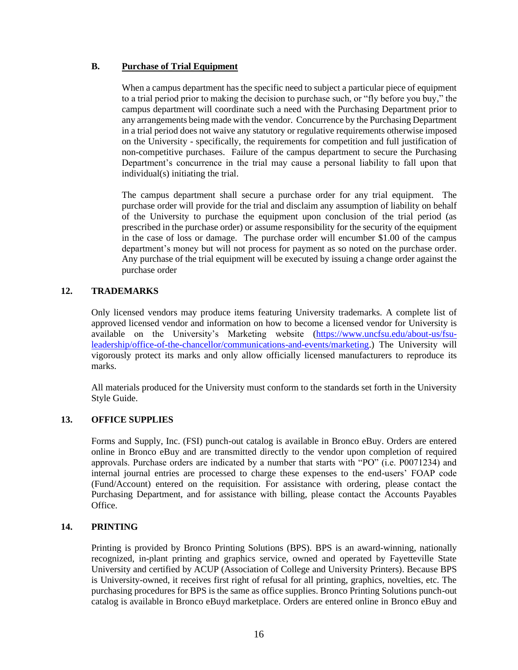# **B. Purchase of Trial Equipment**

When a campus department has the specific need to subject a particular piece of equipment to a trial period prior to making the decision to purchase such, or "fly before you buy," the campus department will coordinate such a need with the Purchasing Department prior to any arrangements being made with the vendor. Concurrence by the Purchasing Department in a trial period does not waive any statutory or regulative requirements otherwise imposed on the University - specifically, the requirements for competition and full justification of non-competitive purchases. Failure of the campus department to secure the Purchasing Department's concurrence in the trial may cause a personal liability to fall upon that individual(s) initiating the trial.

The campus department shall secure a purchase order for any trial equipment. The purchase order will provide for the trial and disclaim any assumption of liability on behalf of the University to purchase the equipment upon conclusion of the trial period (as prescribed in the purchase order) or assume responsibility for the security of the equipment in the case of loss or damage. The purchase order will encumber \$1.00 of the campus department's money but will not process for payment as so noted on the purchase order. Any purchase of the trial equipment will be executed by issuing a change order against the purchase order

# <span id="page-15-0"></span>**12. TRADEMARKS**

Only licensed vendors may produce items featuring University trademarks. A complete list of approved licensed vendor and information on how to become a licensed vendor for University is available on the University's Marketing website [\(https://www.uncfsu.edu/about-us/fsu](https://www.uncfsu.edu/about-us/fsu-leadership/office-of-the-chancellor/communications-and-events/marketing)[leadership/office-of-the-chancellor/communications-and-events/marketing.](https://www.uncfsu.edu/about-us/fsu-leadership/office-of-the-chancellor/communications-and-events/marketing)) The University will vigorously protect its marks and only allow officially licensed manufacturers to reproduce its marks.

All materials produced for the University must conform to the standards set forth in the University Style Guide.

# <span id="page-15-1"></span>**13. OFFICE SUPPLIES**

Forms and Supply, Inc. (FSI) punch-out catalog is available in Bronco eBuy. Orders are entered online in Bronco eBuy and are transmitted directly to the vendor upon completion of required approvals. Purchase orders are indicated by a number that starts with "PO" (i.e. P0071234) and internal journal entries are processed to charge these expenses to the end-users' FOAP code (Fund/Account) entered on the requisition. For assistance with ordering, please contact the Purchasing Department, and for assistance with billing, please contact the Accounts Payables **Office** 

# <span id="page-15-2"></span>**14. PRINTING**

Printing is provided by Bronco Printing Solutions (BPS). BPS is an award-winning, nationally recognized, in-plant printing and graphics service, owned and operated by Fayetteville State University and certified by ACUP (Association of College and University Printers). Because BPS is University-owned, it receives first right of refusal for all printing, graphics, novelties, etc. The purchasing procedures for BPS is the same as office supplies. Bronco Printing Solutions punch-out catalog is available in Bronco eBuyd marketplace. Orders are entered online in Bronco eBuy and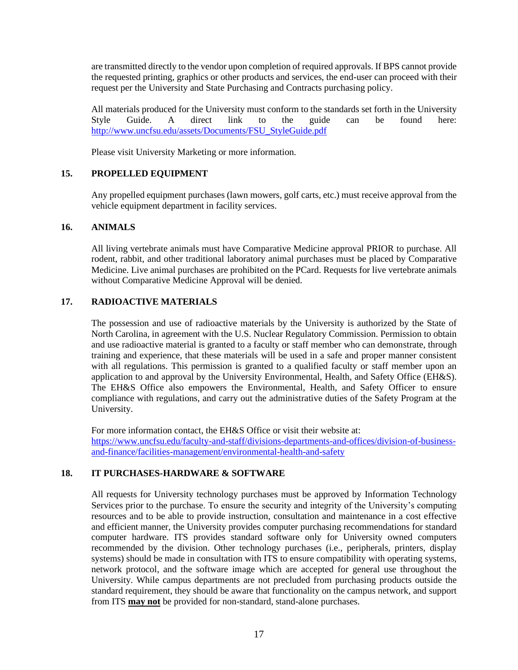are transmitted directly to the vendor upon completion of required approvals. If BPS cannot provide the requested printing, graphics or other products and services, the end-user can proceed with their request per the University and State Purchasing and Contracts purchasing policy.

All materials produced for the University must conform to the standards set forth in the University Style Guide. A direct link to the guide can be found here: [http://www.uncfsu.edu/assets/Documents/FSU\\_StyleGuide.pdf](http://www.uncfsu.edu/assets/Documents/FSU_StyleGuide.pdf)

Please visit University Marketing or more information.

# <span id="page-16-0"></span>**15. PROPELLED EQUIPMENT**

Any propelled equipment purchases (lawn mowers, golf carts, etc.) must receive approval from the vehicle equipment department in facility services.

#### <span id="page-16-1"></span>**16. ANIMALS**

All living vertebrate animals must have Comparative Medicine approval PRIOR to purchase. All rodent, rabbit, and other traditional laboratory animal purchases must be placed by Comparative Medicine. Live animal purchases are prohibited on the PCard. Requests for live vertebrate animals without Comparative Medicine Approval will be denied.

# <span id="page-16-2"></span>**17. RADIOACTIVE MATERIALS**

The possession and use of radioactive materials by the University is authorized by the State of North Carolina, in agreement with the U.S. Nuclear Regulatory Commission. Permission to obtain and use radioactive material is granted to a faculty or staff member who can demonstrate, through training and experience, that these materials will be used in a safe and proper manner consistent with all regulations. This permission is granted to a qualified faculty or staff member upon an application to and approval by the University Environmental, Health, and Safety Office (EH&S). The EH&S Office also empowers the Environmental, Health, and Safety Officer to ensure compliance with regulations, and carry out the administrative duties of the Safety Program at the University.

For more information contact, the EH&S Office or visit their website at: [https://www.uncfsu.edu/faculty-and-staff/divisions-departments-and-offices/division-of-business](https://www.uncfsu.edu/faculty-and-staff/divisions-departments-and-offices/division-of-business-and-finance/facilities-management/environmental-health-and-safety)[and-finance/facilities-management/environmental-health-and-safety](https://www.uncfsu.edu/faculty-and-staff/divisions-departments-and-offices/division-of-business-and-finance/facilities-management/environmental-health-and-safety)

# <span id="page-16-3"></span>**18. IT PURCHASES-HARDWARE & SOFTWARE**

All requests for University technology purchases must be approved by Information Technology Services prior to the purchase. To ensure the security and integrity of the University's computing resources and to be able to provide instruction, consultation and maintenance in a cost effective and efficient manner, the University provides computer purchasing recommendations for standard computer hardware. ITS provides standard software only for University owned computers recommended by the division. Other technology purchases (i.e., peripherals, printers, display systems) should be made in consultation with ITS to ensure compatibility with operating systems, network protocol, and the software image which are accepted for general use throughout the University. While campus departments are not precluded from purchasing products outside the standard requirement, they should be aware that functionality on the campus network, and support from ITS **may not** be provided for non-standard, stand-alone purchases.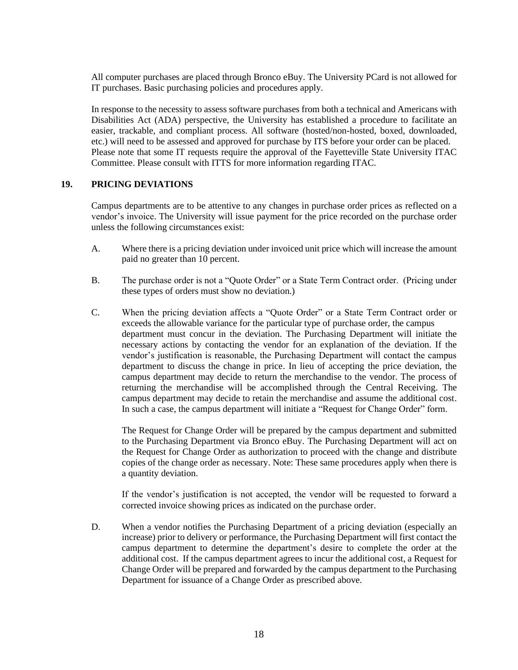All computer purchases are placed through Bronco eBuy. The University PCard is not allowed for IT purchases. Basic purchasing policies and procedures apply.

In response to the necessity to assess software purchases from both a technical and Americans with Disabilities Act (ADA) perspective, the University has established a procedure to facilitate an easier, trackable, and compliant process. All software (hosted/non-hosted, boxed, downloaded, etc.) will need to be assessed and approved for purchase by ITS before your order can be placed. Please note that some IT requests require the approval of the Fayetteville State University ITAC Committee. Please consult with ITTS for more information regarding ITAC.

#### **19. PRICING DEVIATIONS**

Campus departments are to be attentive to any changes in purchase order prices as reflected on a vendor's invoice. The University will issue payment for the price recorded on the purchase order unless the following circumstances exist:

- A. Where there is a pricing deviation under invoiced unit price which will increase the amount paid no greater than 10 percent.
- B. The purchase order is not a "Quote Order" or a State Term Contract order. (Pricing under these types of orders must show no deviation.)
- C. When the pricing deviation affects a "Quote Order" or a State Term Contract order or exceeds the allowable variance for the particular type of purchase order, the campus department must concur in the deviation. The Purchasing Department will initiate the necessary actions by contacting the vendor for an explanation of the deviation. If the vendor's justification is reasonable, the Purchasing Department will contact the campus department to discuss the change in price. In lieu of accepting the price deviation, the campus department may decide to return the merchandise to the vendor. The process of returning the merchandise will be accomplished through the Central Receiving. The campus department may decide to retain the merchandise and assume the additional cost. In such a case, the campus department will initiate a "Request for Change Order" form.

The Request for Change Order will be prepared by the campus department and submitted to the Purchasing Department via Bronco eBuy. The Purchasing Department will act on the Request for Change Order as authorization to proceed with the change and distribute copies of the change order as necessary. Note: These same procedures apply when there is a quantity deviation.

If the vendor's justification is not accepted, the vendor will be requested to forward a corrected invoice showing prices as indicated on the purchase order.

D. When a vendor notifies the Purchasing Department of a pricing deviation (especially an increase) prior to delivery or performance, the Purchasing Department will first contact the campus department to determine the department's desire to complete the order at the additional cost. If the campus department agrees to incur the additional cost, a Request for Change Order will be prepared and forwarded by the campus department to the Purchasing Department for issuance of a Change Order as prescribed above.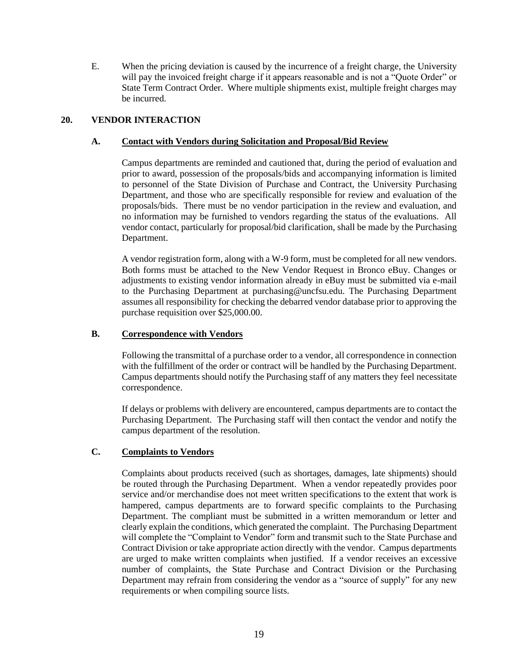E. When the pricing deviation is caused by the incurrence of a freight charge, the University will pay the invoiced freight charge if it appears reasonable and is not a "Quote Order" or State Term Contract Order. Where multiple shipments exist, multiple freight charges may be incurred.

# <span id="page-18-0"></span>**20. VENDOR INTERACTION**

# **A. Contact with Vendors during Solicitation and Proposal/Bid Review**

Campus departments are reminded and cautioned that, during the period of evaluation and prior to award, possession of the proposals/bids and accompanying information is limited to personnel of the State Division of Purchase and Contract, the University Purchasing Department, and those who are specifically responsible for review and evaluation of the proposals/bids. There must be no vendor participation in the review and evaluation, and no information may be furnished to vendors regarding the status of the evaluations. All vendor contact, particularly for proposal/bid clarification, shall be made by the Purchasing Department.

A vendor registration form, along with a W-9 form, must be completed for all new vendors. Both forms must be attached to the New Vendor Request in Bronco eBuy. Changes or adjustments to existing vendor information already in eBuy must be submitted via e-mail to the Purchasing Department at purchasing@uncfsu.edu. The Purchasing Department assumes all responsibility for checking the debarred vendor database prior to approving the purchase requisition over \$25,000.00.

# **B. Correspondence with Vendors**

Following the transmittal of a purchase order to a vendor, all correspondence in connection with the fulfillment of the order or contract will be handled by the Purchasing Department. Campus departments should notify the Purchasing staff of any matters they feel necessitate correspondence.

If delays or problems with delivery are encountered, campus departments are to contact the Purchasing Department. The Purchasing staff will then contact the vendor and notify the campus department of the resolution.

# **C. Complaints to Vendors**

Complaints about products received (such as shortages, damages, late shipments) should be routed through the Purchasing Department. When a vendor repeatedly provides poor service and/or merchandise does not meet written specifications to the extent that work is hampered, campus departments are to forward specific complaints to the Purchasing Department. The compliant must be submitted in a written memorandum or letter and clearly explain the conditions, which generated the complaint. The Purchasing Department will complete the "Complaint to Vendor" form and transmit such to the State Purchase and Contract Division or take appropriate action directly with the vendor. Campus departments are urged to make written complaints when justified. If a vendor receives an excessive number of complaints, the State Purchase and Contract Division or the Purchasing Department may refrain from considering the vendor as a "source of supply" for any new requirements or when compiling source lists.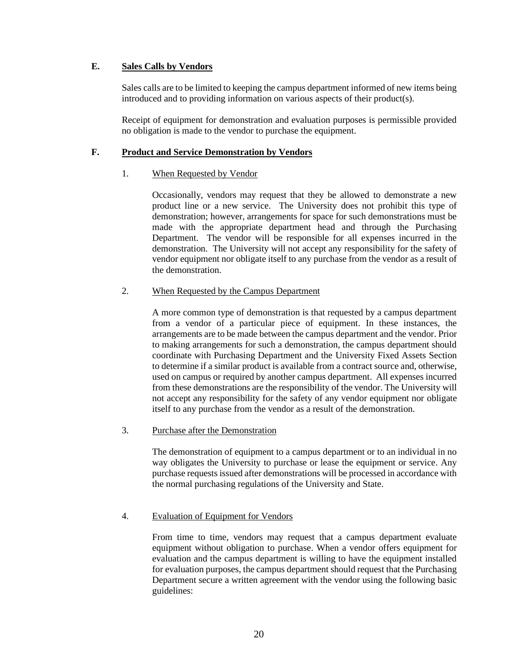# **E. Sales Calls by Vendors**

Sales calls are to be limited to keeping the campus department informed of new items being introduced and to providing information on various aspects of their product(s).

Receipt of equipment for demonstration and evaluation purposes is permissible provided no obligation is made to the vendor to purchase the equipment.

# **F. Product and Service Demonstration by Vendors**

# 1. When Requested by Vendor

Occasionally, vendors may request that they be allowed to demonstrate a new product line or a new service. The University does not prohibit this type of demonstration; however, arrangements for space for such demonstrations must be made with the appropriate department head and through the Purchasing Department. The vendor will be responsible for all expenses incurred in the demonstration. The University will not accept any responsibility for the safety of vendor equipment nor obligate itself to any purchase from the vendor as a result of the demonstration.

# 2. When Requested by the Campus Department

A more common type of demonstration is that requested by a campus department from a vendor of a particular piece of equipment. In these instances, the arrangements are to be made between the campus department and the vendor. Prior to making arrangements for such a demonstration, the campus department should coordinate with Purchasing Department and the University Fixed Assets Section to determine if a similar product is available from a contract source and, otherwise, used on campus or required by another campus department. All expenses incurred from these demonstrations are the responsibility of the vendor. The University will not accept any responsibility for the safety of any vendor equipment nor obligate itself to any purchase from the vendor as a result of the demonstration.

# 3. Purchase after the Demonstration

The demonstration of equipment to a campus department or to an individual in no way obligates the University to purchase or lease the equipment or service. Any purchase requests issued after demonstrations will be processed in accordance with the normal purchasing regulations of the University and State.

# 4. Evaluation of Equipment for Vendors

From time to time, vendors may request that a campus department evaluate equipment without obligation to purchase. When a vendor offers equipment for evaluation and the campus department is willing to have the equipment installed for evaluation purposes, the campus department should request that the Purchasing Department secure a written agreement with the vendor using the following basic guidelines: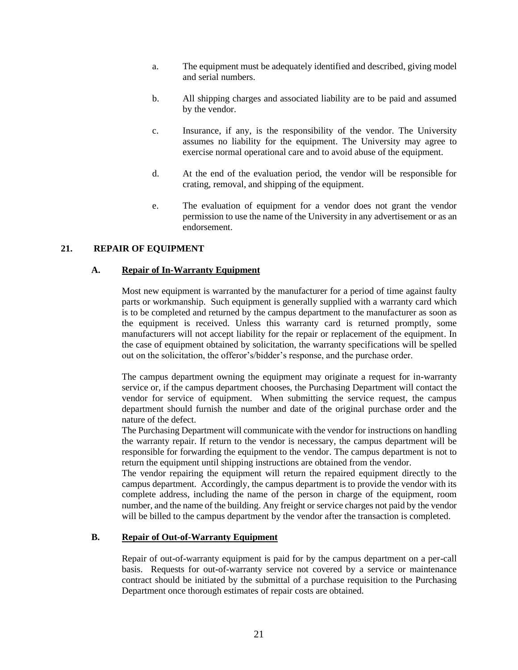- a. The equipment must be adequately identified and described, giving model and serial numbers.
- b. All shipping charges and associated liability are to be paid and assumed by the vendor.
- c. Insurance, if any, is the responsibility of the vendor. The University assumes no liability for the equipment. The University may agree to exercise normal operational care and to avoid abuse of the equipment.
- d. At the end of the evaluation period, the vendor will be responsible for crating, removal, and shipping of the equipment.
- e. The evaluation of equipment for a vendor does not grant the vendor permission to use the name of the University in any advertisement or as an endorsement.

#### **21. REPAIR OF EQUIPMENT**

#### **A. Repair of In-Warranty Equipment**

Most new equipment is warranted by the manufacturer for a period of time against faulty parts or workmanship. Such equipment is generally supplied with a warranty card which is to be completed and returned by the campus department to the manufacturer as soon as the equipment is received. Unless this warranty card is returned promptly, some manufacturers will not accept liability for the repair or replacement of the equipment. In the case of equipment obtained by solicitation, the warranty specifications will be spelled out on the solicitation, the offeror's/bidder's response, and the purchase order.

The campus department owning the equipment may originate a request for in-warranty service or, if the campus department chooses, the Purchasing Department will contact the vendor for service of equipment. When submitting the service request, the campus department should furnish the number and date of the original purchase order and the nature of the defect.

The Purchasing Department will communicate with the vendor for instructions on handling the warranty repair. If return to the vendor is necessary, the campus department will be responsible for forwarding the equipment to the vendor. The campus department is not to return the equipment until shipping instructions are obtained from the vendor.

The vendor repairing the equipment will return the repaired equipment directly to the campus department. Accordingly, the campus department is to provide the vendor with its complete address, including the name of the person in charge of the equipment, room number, and the name of the building. Any freight or service charges not paid by the vendor will be billed to the campus department by the vendor after the transaction is completed.

# **B. Repair of Out-of-Warranty Equipment**

Repair of out-of-warranty equipment is paid for by the campus department on a per-call basis. Requests for out-of-warranty service not covered by a service or maintenance contract should be initiated by the submittal of a purchase requisition to the Purchasing Department once thorough estimates of repair costs are obtained.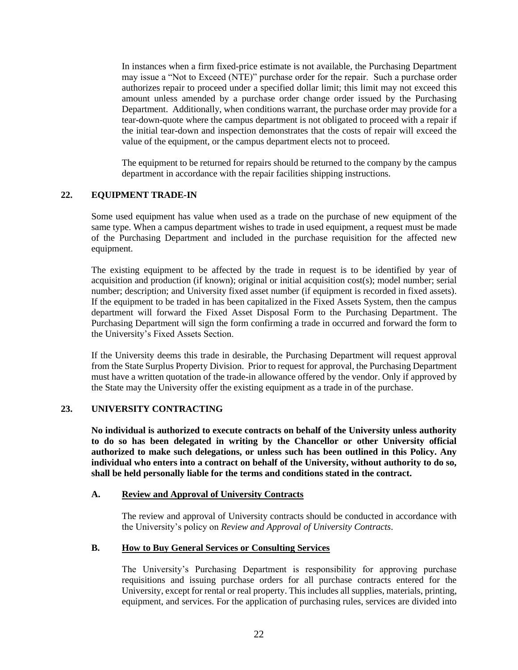In instances when a firm fixed-price estimate is not available, the Purchasing Department may issue a "Not to Exceed (NTE)" purchase order for the repair. Such a purchase order authorizes repair to proceed under a specified dollar limit; this limit may not exceed this amount unless amended by a purchase order change order issued by the Purchasing Department. Additionally, when conditions warrant, the purchase order may provide for a tear-down-quote where the campus department is not obligated to proceed with a repair if the initial tear-down and inspection demonstrates that the costs of repair will exceed the value of the equipment, or the campus department elects not to proceed.

The equipment to be returned for repairs should be returned to the company by the campus department in accordance with the repair facilities shipping instructions.

# **22. EQUIPMENT TRADE-IN**

Some used equipment has value when used as a trade on the purchase of new equipment of the same type. When a campus department wishes to trade in used equipment, a request must be made of the Purchasing Department and included in the purchase requisition for the affected new equipment.

The existing equipment to be affected by the trade in request is to be identified by year of acquisition and production (if known); original or initial acquisition cost(s); model number; serial number; description; and University fixed asset number (if equipment is recorded in fixed assets). If the equipment to be traded in has been capitalized in the Fixed Assets System, then the campus department will forward the Fixed Asset Disposal Form to the Purchasing Department. The Purchasing Department will sign the form confirming a trade in occurred and forward the form to the University's Fixed Assets Section.

If the University deems this trade in desirable, the Purchasing Department will request approval from the State Surplus Property Division. Prior to request for approval, the Purchasing Department must have a written quotation of the trade-in allowance offered by the vendor. Only if approved by the State may the University offer the existing equipment as a trade in of the purchase.

#### <span id="page-21-0"></span>**23. UNIVERSITY CONTRACTING**

**No individual is authorized to execute contracts on behalf of the University unless authority to do so has been delegated in writing by the Chancellor or other University official authorized to make such delegations, or unless such has been outlined in this Policy. Any individual who enters into a contract on behalf of the University, without authority to do so, shall be held personally liable for the terms and conditions stated in the contract.** 

#### **A. Review and Approval of University Contracts**

The review and approval of University contracts should be conducted in accordance with the University's policy on *Review and Approval of University Contracts*.

#### **B. How to Buy General Services or Consulting Services**

The University's Purchasing Department is responsibility for approving purchase requisitions and issuing purchase orders for all purchase contracts entered for the University, except for rental or real property. This includes all supplies, materials, printing, equipment, and services. For the application of purchasing rules, services are divided into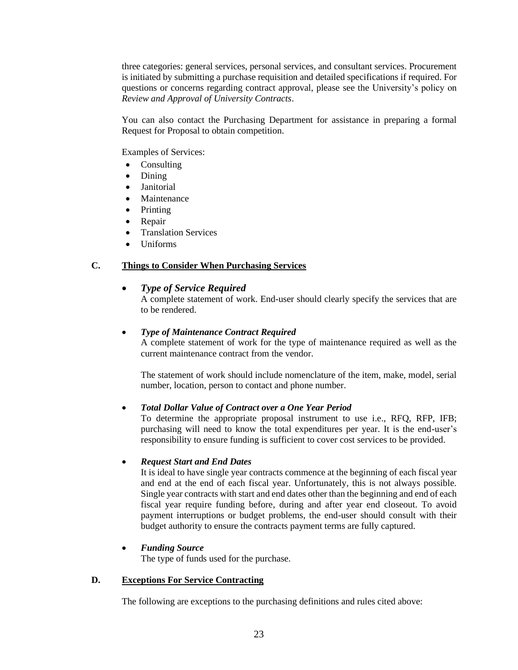three categories: general services, personal services, and consultant services. Procurement is initiated by submitting a purchase requisition and detailed specifications if required. For questions or concerns regarding contract approval, please see the University's policy on *Review and Approval of University Contracts*.

You can also contact the Purchasing Department for assistance in preparing a formal Request for Proposal to obtain competition.

Examples of Services:

- Consulting
- Dining
- **Janitorial**
- **Maintenance**
- **Printing**
- Repair
- Translation Services
- Uniforms

# **C. Things to Consider When Purchasing Services**

# • *Type of Service Required*

A complete statement of work. End-user should clearly specify the services that are to be rendered.

# • *Type of Maintenance Contract Required*

A complete statement of work for the type of maintenance required as well as the current maintenance contract from the vendor.

The statement of work should include nomenclature of the item, make, model, serial number, location, person to contact and phone number.

# • *Total Dollar Value of Contract over a One Year Period*

To determine the appropriate proposal instrument to use i.e., RFQ, RFP, IFB; purchasing will need to know the total expenditures per year. It is the end-user's responsibility to ensure funding is sufficient to cover cost services to be provided.

# • *Request Start and End Dates*

It is ideal to have single year contracts commence at the beginning of each fiscal year and end at the end of each fiscal year. Unfortunately, this is not always possible. Single year contracts with start and end dates other than the beginning and end of each fiscal year require funding before, during and after year end closeout. To avoid payment interruptions or budget problems, the end-user should consult with their budget authority to ensure the contracts payment terms are fully captured.

# • *Funding Source*

The type of funds used for the purchase.

# **D. Exceptions For Service Contracting**

The following are exceptions to the purchasing definitions and rules cited above: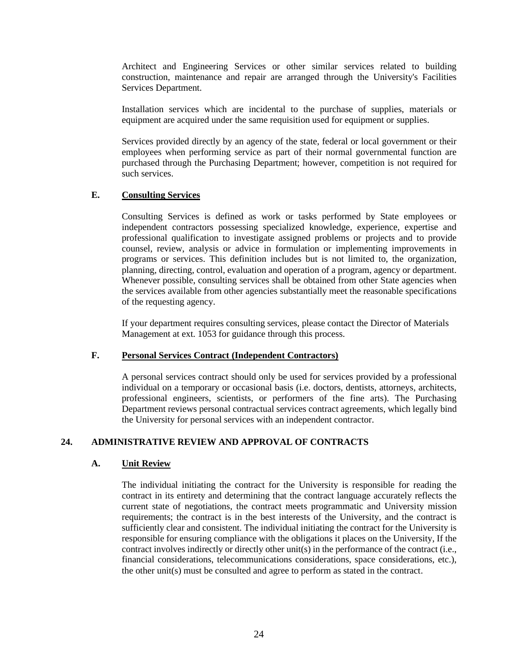Architect and Engineering Services or other similar services related to building construction, maintenance and repair are arranged through the University's Facilities Services Department.

Installation services which are incidental to the purchase of supplies, materials or equipment are acquired under the same requisition used for equipment or supplies.

Services provided directly by an agency of the state, federal or local government or their employees when performing service as part of their normal governmental function are purchased through the Purchasing Department; however, competition is not required for such services.

# **E. Consulting Services**

Consulting Services is defined as work or tasks performed by State employees or independent contractors possessing specialized knowledge, experience, expertise and professional qualification to investigate assigned problems or projects and to provide counsel, review, analysis or advice in formulation or implementing improvements in programs or services. This definition includes but is not limited to, the organization, planning, directing, control, evaluation and operation of a program, agency or department. Whenever possible, consulting services shall be obtained from other State agencies when the services available from other agencies substantially meet the reasonable specifications of the requesting agency.

If your department requires consulting services, please contact the Director of Materials Management at ext. 1053 for guidance through this process.

### **F. Personal Services Contract (Independent Contractors)**

A personal services contract should only be used for services provided by a professional individual on a temporary or occasional basis (i.e. doctors, dentists, attorneys, architects, professional engineers, scientists, or performers of the fine arts). The Purchasing Department reviews personal contractual services contract agreements, which legally bind the University for personal services with an independent contractor.

# <span id="page-23-0"></span>**24. ADMINISTRATIVE REVIEW AND APPROVAL OF CONTRACTS**

# **A. Unit Review**

The individual initiating the contract for the University is responsible for reading the contract in its entirety and determining that the contract language accurately reflects the current state of negotiations, the contract meets programmatic and University mission requirements; the contract is in the best interests of the University, and the contract is sufficiently clear and consistent. The individual initiating the contract for the University is responsible for ensuring compliance with the obligations it places on the University, If the contract involves indirectly or directly other unit(s) in the performance of the contract (i.e., financial considerations, telecommunications considerations, space considerations, etc.), the other unit(s) must be consulted and agree to perform as stated in the contract.